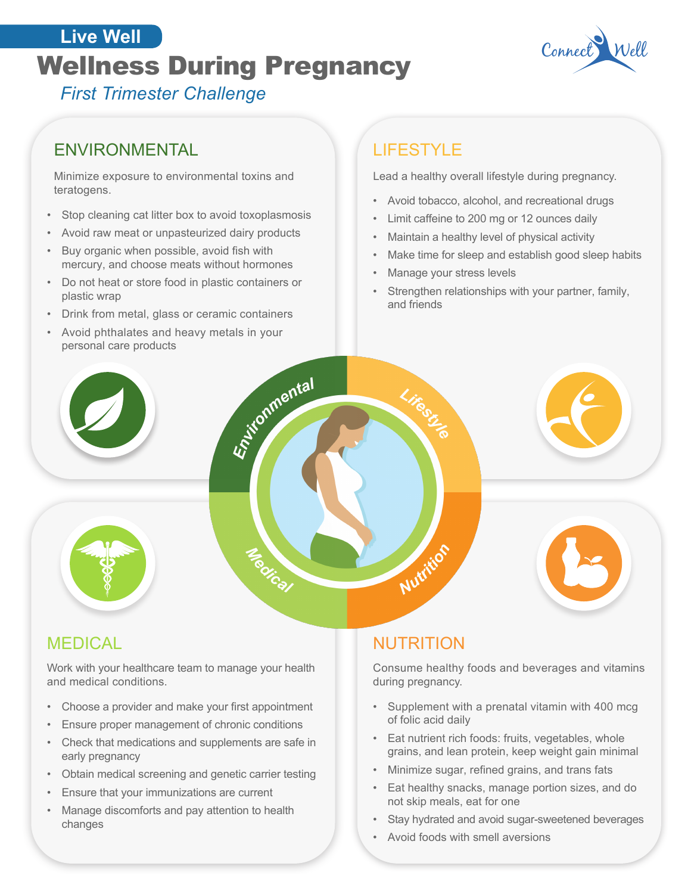# **The Well Designancy** Connect **Live Well**



*First Trimester Challenge*

## ENVIRONMENTAL **ENVIRONMENTAL**

Minimize exposure to environmental toxins and teratogens.

- Stop cleaning cat litter box to avoid toxoplasmosis
- Avoid raw meat or unpasteurized dairy products
- Buy organic when possible, avoid fish with mercury, and choose meats without hormones
- Do not heat or store food in plastic containers or plastic wrap
- Drink from metal, glass or ceramic containers
- Avoid phthalates and heavy metals in your personal care products Live Intental

Lead a healthy overall lifestyle during pregnancy.

- Avoid tobacco, alcohol, and recreational drugs
- Limit caffeine to 200 mg or 12 ounces daily
- Maintain a healthy level of physical activity
- Make time for sleep and establish good sleep habits
- Manage your stress levels

Lifeer76

• Strengthen relationships with your partner, family, and friends

MEDICAL

Work with your healthcare team to manage your health and medical conditions.

**Medical** 

- Choose a provider and make your first appointment
- Ensure proper management of chronic conditions
- Check that medications and supplements are safe in early pregnancy
- Obtain medical screening and genetic carrier testing
- Ensure that your immunizations are current
- Manage discomforts and pay attention to health changes

### NUTRITION

Nutrition

Consume healthy foods and beverages and vitamins during pregnancy.

- Supplement with a prenatal vitamin with 400 mcg of folic acid daily
- Eat nutrient rich foods: fruits, vegetables, whole grains, and lean protein, keep weight gain minimal
- Minimize sugar, refined grains, and trans fats
- Eat healthy snacks, manage portion sizes, and do not skip meals, eat for one
- Stay hydrated and avoid sugar-sweetened beverages
- Avoid foods with smell aversions